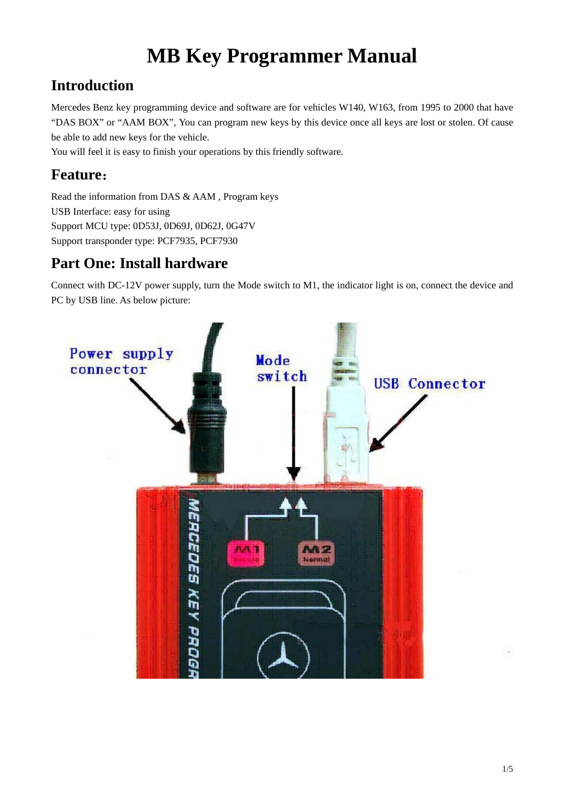# **MB Key Programmer Manual**

## **Introduction**

Mercedes Benz key programming device and software are for vehicles W140, W163, from 1995 to 2000 that have "DAS BOX" or "AAM BOX", You can program new keys by this device once all keys are lost or stolen. Of cause be able to add new keys for the vehicle.

You will feel it is easy to finish your operations by this friendly software.

## **Feature**:

Read the information from DAS & AAM , Program keys USB Interface: easy for using Support MCU type: 0D53J, 0D69J, 0D62J, 0G47V Support transponder type: PCF7935, PCF7930

### **Part One: Install hardware**

Connect with DC-12V power supply, turn the Mode switch to M1, the indicator light is on, connect the device and PC by USB line. As below picture:

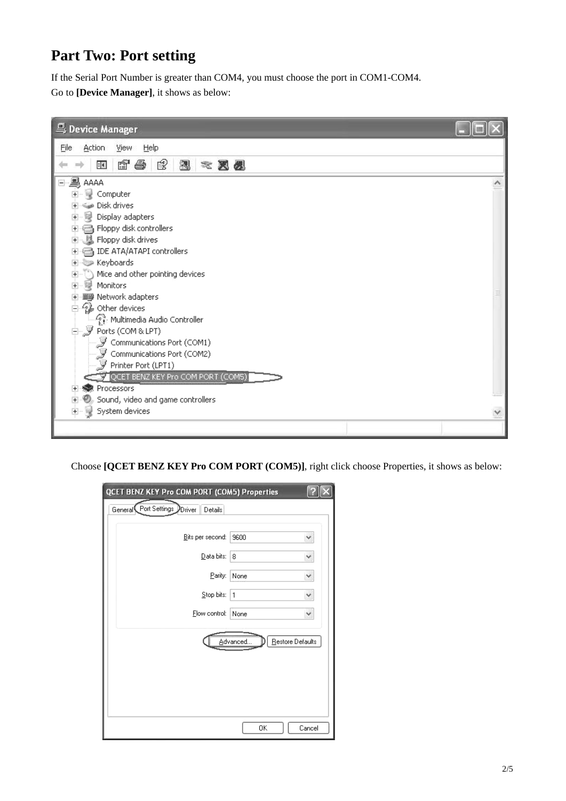### **Part Two: Port setting**

If the Serial Port Number is greater than COM4, you must choose the port in COM1-COM4. Go to **[Device Manager]**, it shows as below:

| 鸟 Device Manager                               |  |
|------------------------------------------------|--|
| Help<br>File<br>Action<br>View                 |  |
| q &<br>ピ<br>恩<br>盯<br>■ ※ 図 例                  |  |
| ⊟~ <b>∭</b> , AAAA                             |  |
| Computer<br>$+$                                |  |
| Disk drives                                    |  |
| Display adapters<br>$\overline{+}$             |  |
| n Floppy disk controllers<br>$+$               |  |
| 基 Floppy disk drives<br>$+$                    |  |
| IDE ATA/ATAPI controllers<br>$+$               |  |
| <b>Source</b> Keyboards<br>Ė                   |  |
| Mice and other pointing devices<br>$rac{+}{+}$ |  |
| Monitors                                       |  |
| 圖 Network adapters<br>由                        |  |
| Other devices                                  |  |
| Multimedia Audio Controller                    |  |
| 白 y Ports (COM&LPT)                            |  |
| Communications Port (COM1)                     |  |
| Communications Port (COM2)                     |  |
| $\mathcal F$ Printer Port (LPT1)               |  |
| QCET BENZ KEY Pro COM PORT (COM5)              |  |
| Processors<br>$+$                              |  |
| Sound, video and game controllers<br>Ė         |  |
| System devices<br>$+$                          |  |
|                                                |  |

Choose **[QCET BENZ KEY Pro COM PORT (COM5)]**, right click choose Properties, it shows as below:

| QCET BENZ KEY Pro COM PORT (COM5) Properties |                               |        |
|----------------------------------------------|-------------------------------|--------|
| General Port Settings Driver<br>Details      |                               |        |
| Bits per second:                             | 9600                          | ۷      |
| Data bits:                                   | 8                             | v      |
| Parity:                                      | None                          | ٧      |
| Stop bits:                                   | 1                             | v      |
| Flow control:                                | None                          | Y      |
|                                              | Restore Defaults<br>Advanced. |        |
|                                              |                               |        |
|                                              |                               |        |
|                                              | OΚ                            | Cancel |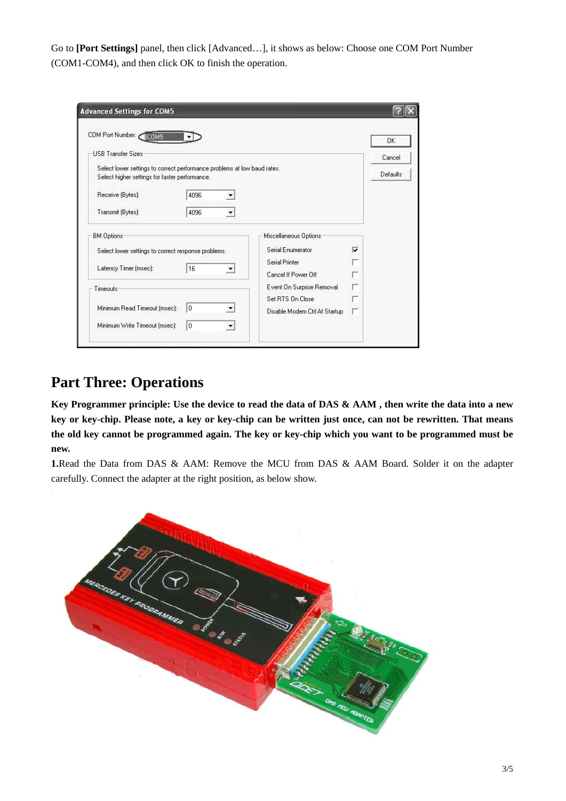Go to **[Port Settings]** panel, then clic k [Advanced…], it shows as below: Choose one COM Port Number (COM1-COM4), and then click OK t o finish the operation.

| COM Port Number:<br><b>IICOM5</b>                                                                                          |                               | 0K       |
|----------------------------------------------------------------------------------------------------------------------------|-------------------------------|----------|
| <b>USB Transfer Sizes</b>                                                                                                  |                               | Cancel   |
| Select lower settings to correct performance problems at low baud rates.<br>Select higher settings for faster performance. |                               | Defaults |
| Receive (Bytes):<br>4096                                                                                                   |                               |          |
| Transmit (Bytes):<br>4096                                                                                                  |                               |          |
| <b>BM Options:</b>                                                                                                         | Miscellaneous Options         |          |
| Select lower settings to correct response problems.                                                                        | Serial Enumerator             | ⊽        |
| Latency Timer (msec):<br>16                                                                                                | <b>Serial Printer</b>         |          |
|                                                                                                                            | Cancel If Power Off           |          |
| Timeouts                                                                                                                   | Event On Surprise Removal     |          |
|                                                                                                                            | Set RTS On Close              |          |
| Minimum Read Timeout (msec):<br>۱o                                                                                         | Disable Modem Ctrl At Startup |          |

#### **Part Three: Operations**

**Key Programmer principle: Use the device to read the data of DAS & AAM , then write the data into a new key or key-chip. Please note, a key or key-chip can be written just once, can not be rewritten. That means the old key cannot be programmed again. The key or key-chip which you want to be programmed must be**  new.

1.Read the Data from DAS & AAM: Remove the MCU from DAS & AAM Board. Solder it on the adapter carefully. Connect the adapter at the right position, as below show.

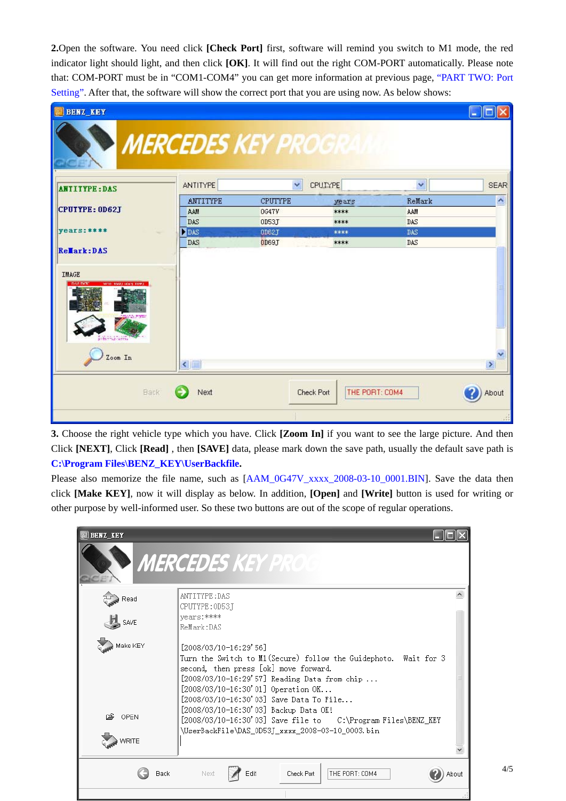**2.**Open the software. You need click **[Check Port]** first, software will remind you switch to M1 mode, the red indicator light should light, and then click [OK]. It will find out the right COM-PORT automatically. Please note that: COM-PORT must be in "COM1-COM4" you can get more information at previous page, "PART TWO: Port Setting". After that, the software will show the correct port that you are using now. As below shows:

| <b>BENZ KEY</b>                                        |                 |                                  |                                     |        | ll Cl<br><b>First</b> |
|--------------------------------------------------------|-----------------|----------------------------------|-------------------------------------|--------|-----------------------|
|                                                        | <b>ANTITYPE</b> | <b>MERCEDES KEY PROGRAM</b><br>× | CPUTYPE                             | Ÿ      | <b>SEAR</b>           |
| <b>ANTITYPE: DAS</b>                                   | ANTITYPE        | <b>CPUTYPE</b>                   |                                     | ReMark | $\hat{\phantom{a}}$   |
| CPUTYPE: 0D62J                                         | AAM             | 0647V                            | years<br>****                       | AAM    |                       |
|                                                        | DAS             | OD53J                            | ****                                | DAS    |                       |
| $years:***$                                            | <b>DE</b> DAS   | 0D62J                            | ****                                | DAS    |                       |
|                                                        | DAS             | OD69J                            | ****                                | DAS    |                       |
| Rellark: DAS<br><b>IMAGE</b><br>энти-электронал помог- |                 |                                  |                                     |        |                       |
| Zoom In                                                | $\leq$ 100      |                                  |                                     |        | $\,$                  |
| <b>Back</b>                                            | Next            |                                  | THE PORT: COM4<br><b>Check Port</b> |        | About                 |
|                                                        |                 |                                  |                                     |        |                       |

**3.** Choose the right vehicle type which you have. Click **[Zoom In]** if you want to see the large picture. And then Click [NEXT], Click [Read], then [SAVE] data, please mark down the save path, usually the default save path is **C:\Program Files\BENZ\_KEY\UserBackfile.** 

Please also memorize the file name, such as  $[AAM_0G47V_xxxx_2008-03-10_0001.BIN]$ . Save the data then click **[Make KEY]**, now it will display as below. In addition, **[Open]** and **[Write]** button is us ed for writing or other purpose by well-informed user. So these two buttons are out of the scope of regular operations.

| <b>BENZ KEY</b> | <b>MERCEDES KEY PROG</b>                                                                                                                                                                                                                                                                                         |
|-----------------|------------------------------------------------------------------------------------------------------------------------------------------------------------------------------------------------------------------------------------------------------------------------------------------------------------------|
| Read            | ANTITYPE: DAS<br>CPUTYPE: 0D53T                                                                                                                                                                                                                                                                                  |
| SAVE            | vears:****<br>ReMark:DAS                                                                                                                                                                                                                                                                                         |
| Make KEY        | $[2008/03/10-16:29'56]$<br>Turn the Switch to M1 (Secure) follow the Guidephoto. Wait for 3<br>second, then press [ok] move forward.<br>[2008/03/10-16:29'57] Reading Data from chip<br>$[2008/03/10-16:30'01]$ Operation OK<br>[2008/03/10-16:30'03] Save Data To File<br>[2008/03/10-16:30'03] Backup Data OK! |
| 净 OPEN          | [2008/03/10-16:30'03] Save file to C:\Program Files\BENZ_KEY<br>\UserBackFile\DAS_0D53J_xxxx_2008-03-10_0003.bin                                                                                                                                                                                                 |
| <b>WRITE</b>    |                                                                                                                                                                                                                                                                                                                  |
| <b>Back</b>     | THE PORT: COM4<br>Edit<br>Next<br>Check Port<br>About                                                                                                                                                                                                                                                            |

4/5